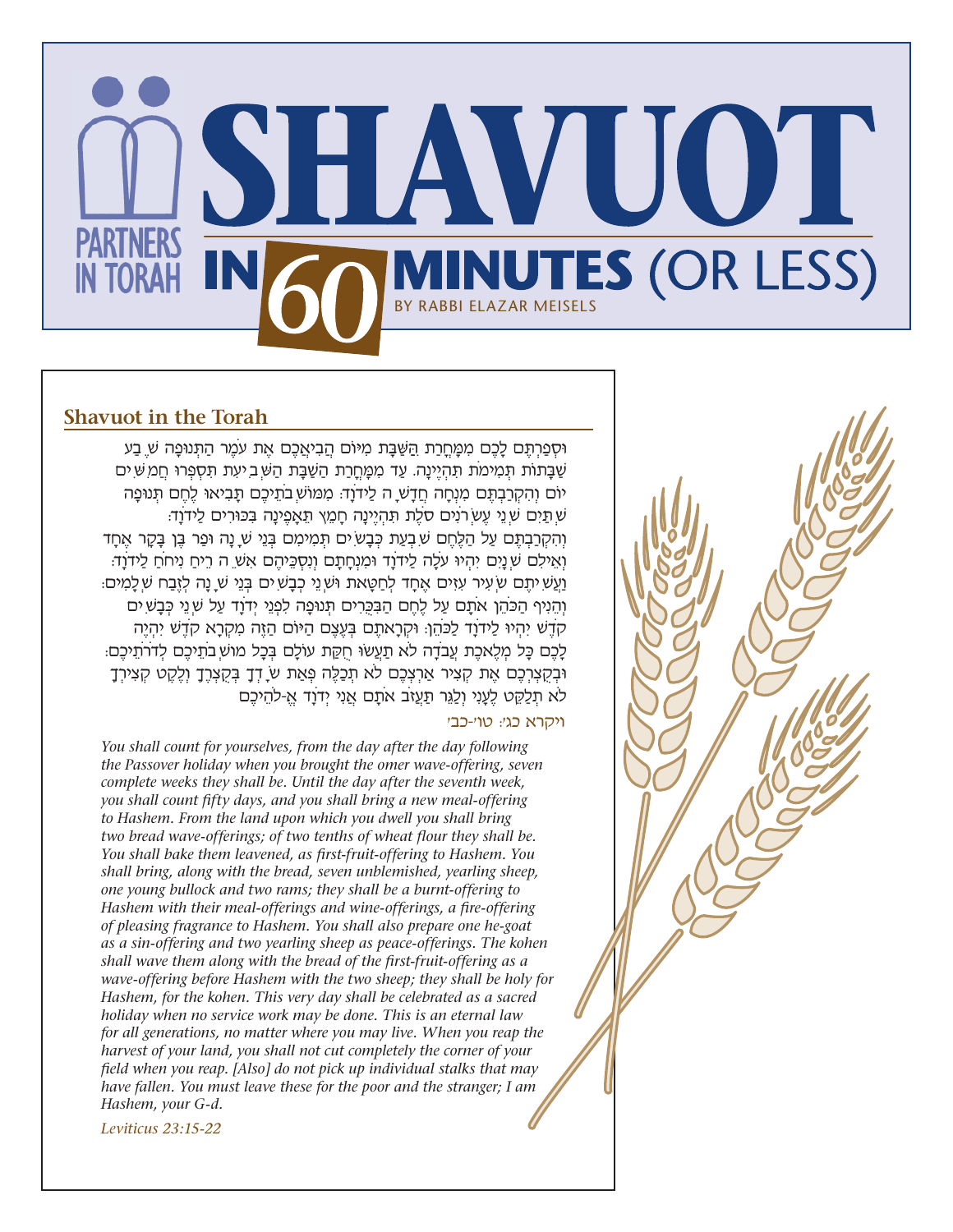

## **Shavuot in the Torah**

**וּסְפַרְתֵּם לָכֶם מִמֶּחֵרַת הַשַּׁבָּת מִיּוֹם הֲבִיאֲכֶם אֶת עֹמֶר הַתְּנוּפָה שַׁ בַע** שַׁבַּתוֹת תִּמִימֹת תִּהְיֵינַה. עַד מִמַּחֲרַת הַשַּׁבַּת הַשִּׁ בִיעְת תִּסְפְּרוּ חֲמ שִׁ יִם יֹום וְהִקְרַבְתֶּ ם מִנְחָה חֲדָשׁ ה לַידֹוָד: מִּמוֹשׁ בֹתֵיכֶם תָּ בִיאּו לֶחֶם תְּ נּופָה שׁ תַּ יִם שׁ נֵי עֶשׂ רֹנִים סֹלֶת תִּ הְיֶינָה חָמֵץ תֵּ אָפֶינָה בִּ ּכּורִים לַידֹוָד: וְהִקְרַבְתֶּם עַל הַלֶּחֶם שִׁ בְעַת כְּבָש יִם תְּמִימִם בְּנֵי שַׁ נַה וּפַר בֵּן בַּקַר אֶחֲד וְאֵילִם שׁ נָיִם יִהְיּו עֹלָה לַידֹוָד ּומִנְחָתָם וְנִסְכֵּ יהֶם אִשׁ ה רֵיחַ נִיחֹחַ לַידֹוָד: וַעֲשִׁ יתֵם שׂ עִיר עִזִּים אֶחֲד לְחַטֵּאת וּשׁׁ נֵי כְבַשִׁ ים בְּנֵי שׁ נַה לְזֶבַח שַׁ לַמִים: וְהֵנִיף הַכֹּהֵן אֹתָם עַל לֶחֶם הַבִּכְּרִים תְּנוּפָה לִפְנֵי יְדֹוַד עַל שִׁ נֵי כְּבָשִׁ יִם קדש יהיו לידוד לכהן: וּקְרָאתֶם בַּעְצֶם הִיּוֹם הַזֶּה מִקְרָא קָדֶש יִהִיה לָכֶם כָּל מְלֶאכֶת עֲבֹדָה לֹא תַעֲשׂוּ חִקֶּת עוֹלָם בְּכָל מוּשָׁ בֹתֵיכֶם לְדֹרתֵיכֶם: ּובְקֻצְרְכֶם אֶת קְצִיר אַרְצְכֶם לֹא תְכַלֶּ ה פְּ אַת שׂ דְךָ בְּ קֻצְרֶךָ וְלֶקֶט קְצִירְךָ לֹא תִלַקֶט לֶעָנִי וְלַגֶּר תַעֲזֹב אֹתָם אֲנִי יִדְוַד אַ-לֹהֵיכֶם

## ויקרא כג': טו'-כב'

*You shall count for yourselves, from the day after the day following the Passover holiday when you brought the omer wave-offering, seven complete weeks they shall be. Until the day after the seventh week, you shall count fifty days, and you shall bring a new meal-offering to Hashem. From the land upon which you dwell you shall bring two bread wave-offerings; of two tenths of wheat flour they shall be. You shall bake them leavened, as first-fruit-offering to Hashem. You shall bring, along with the bread, seven unblemished, yearling sheep, one young bullock and two rams; they shall be a burnt-offering to Hashem with their meal-offerings and wine-offerings, a fire-offering of pleasing fragrance to Hashem. You shall also prepare one he-goat as a sin-offering and two yearling sheep as peace-offerings. The kohen shall wave them along with the bread of the first-fruit-offering as a wave-offering before Hashem with the two sheep; they shall be holy for Hashem, for the kohen. This very day shall be celebrated as a sacred holiday when no service work may be done. This is an eternal law for all generations, no matter where you may live. When you reap the harvest of your land, you shall not cut completely the corner of your field when you reap. [Also] do not pick up individual stalks that may have fallen. You must leave these for the poor and the stranger; I am Hashem, your G-d.*

*Leviticus 23:15-22*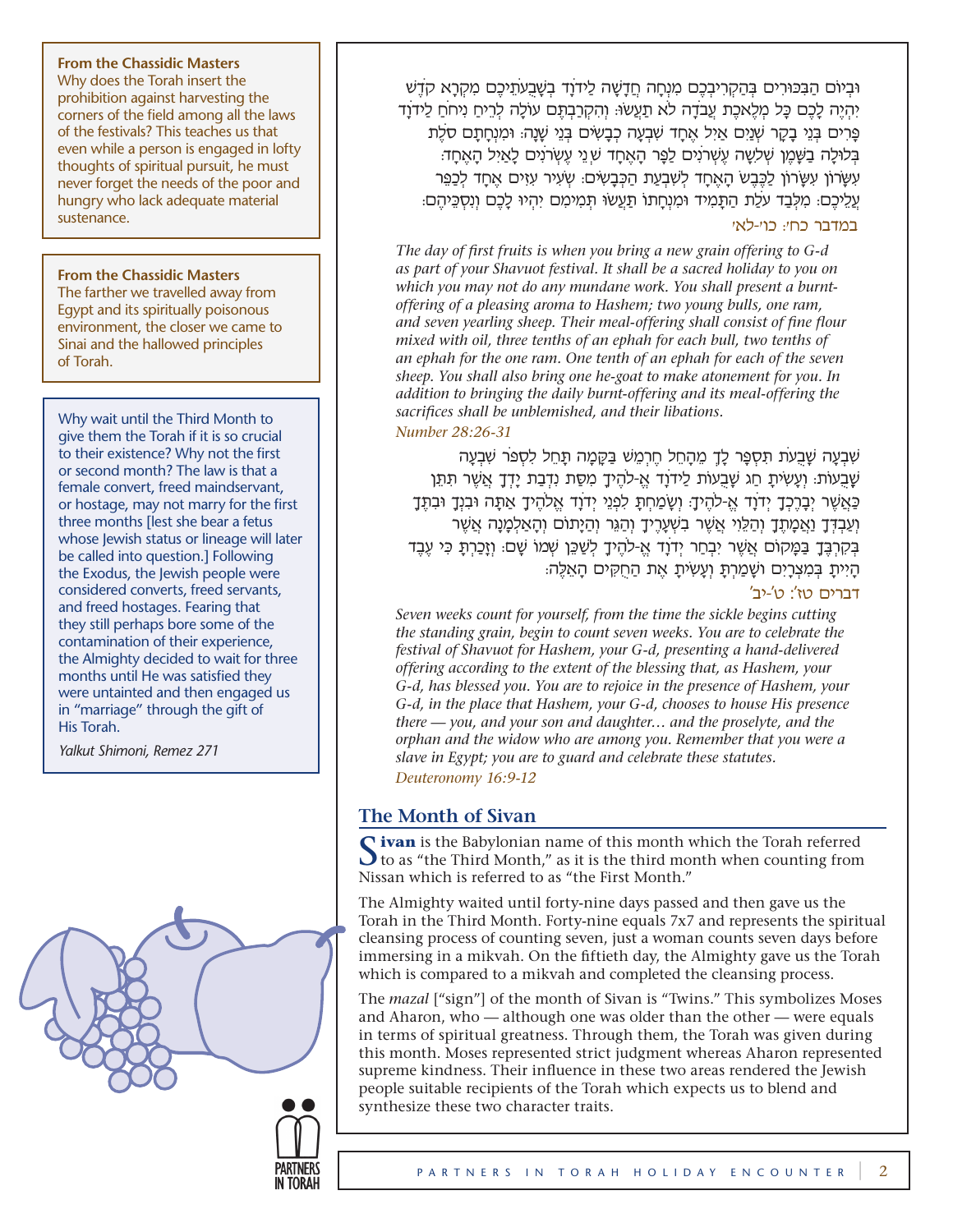### **From the Chassidic Masters**

Why does the Torah insert the prohibition against harvesting the corners of the field among all the laws of the festivals? This teaches us that even while a person is engaged in lofty thoughts of spiritual pursuit, he must never forget the needs of the poor and hungry who lack adequate material sustenance.

#### **From the Chassidic Masters**

The farther we travelled away from Egypt and its spiritually poisonous environment, the closer we came to Sinai and the hallowed principles of Torah.

Why wait until the Third Month to give them the Torah if it is so crucial to their existence? Why not the first or second month? The law is that a female convert, freed maindservant, or hostage, may not marry for the first three months [lest she bear a fetus whose Jewish status or lineage will later be called into question.] Following the Exodus, the Jewish people were considered converts, freed servants, and freed hostages. Fearing that they still perhaps bore some of the contamination of their experience, the Almighty decided to wait for three months until He was satisfied they were untainted and then engaged us in "marriage" through the gift of His Torah.

*Yalkut Shimoni, Remez 271*



ּובְיֹום הַבִּ ּכּורִים בְּ הַקְרִיבְכֶם מִנְחָה חֲדָשׁה לַידֹוָד בְשׁבֻעֹתֵיכֶם מִקְרָא קֹדֶׁש יִהְיֶה לָכֶם כָּ ל מְלֶאכֶת עֲבֹדָה לֹא תַעֲׂשּו: וְהִקְרַבְתֶּ ם עֹולָה לְרֵיחַ נִיחֹחַ לַידֹוָד פַּרִים בְּנֵי בָקָר שָׁנֵיִם אַיִל אֶחֲד שָׁבָעָה כְבַשִּׂים בְּנֵי שָׁנָה: וּמִנְחֲתָם סֹלֶת בְּלוּלָה בַּשֶּׁמֶן שְׁלִשֶּׁה עֶשְׁרֹנִים לַפֵּר הָאֶחַד שִׁ נֵי עֵשְׂרֹנִים לָאֲיָל הָאֶחָד: עִשּׂרֹון עִשּׂרֹון לַכֶּבֶׂש הָאֶחָד לְׁשבְעַת הַכְּבָשׂים: שְׂעִיר עִזִּים אֶחָד לְכַפֵּ ר עליכם: מִלְבַד עִלֶת הִתְּמִיד וְמִנְחְתו תַּעְשׂוּ תְּמִימֵם יִהִיו לָכֶם וְנִסְכֵּיהִם:

## במדבר כח': כו'-לא'

*The day of first fruits is when you bring a new grain offering to G-d as part of your Shavuot festival. It shall be a sacred holiday to you on which you may not do any mundane work. You shall present a burntoffering of a pleasing aroma to Hashem; two young bulls, one ram, and seven yearling sheep. Their meal-offering shall consist of fine flour mixed with oil, three tenths of an ephah for each bull, two tenths of an ephah for the one ram. One tenth of an ephah for each of the seven sheep. You shall also bring one he-goat to make atonement for you. In addition to bringing the daily burnt-offering and its meal-offering the sacrifices shall be unblemished, and their libations.*

## *Number 28:26-31*

שׁבְעָה שׁבֻעֹת תִּ סְפָּ ר לָךְ מֵהָחֵל חֶרְמֵׁש בַּ קָּ מָה תָּ חֵל לִסְפֹּ ר שׁבְעָה ּשָׁבַעִּוֹת: וְעָשִׂיתַ חַג שַׁבְעוֹת לַידֹוַד אַ-לֹהֶיךָ מִסֶּת נִדְבַת יַדְךָ אֲשֶׁר תִּתֵּן ַכְּאֲשֶׁר יִבָּרֶכְךָ יְדֹוָד אֱ-לֹהֶיךָ: וְשָׂמַחְתָּ לִפְנֵי יְדֹוָד אֱלֹהֶיךָ אֲתָה וּבִנְךָ וּבְתֵּדָ וְעַבְדְּ ךָ וַאֲמָתֶךָ וְהַלֵּ וִי אֲשׁר בִשׁעָרֶיךָ וְהַגֵּר וְהַיָּתֹום וְהָאַלְמָנָה אֲשׁר בְּקִרְבֵּדָ בַּמָּקוֹם אֲשֶׁר יִבְחַר יִדֹוָד אֱ-לֹהֶיךָ לְשַׁכֵּן שְׁמוֹ שָׁם: וְזָכַרְתָּ כִּי עֵבֵד ּהָיִּיתָ בְּמִצְרָיִם ושָׁמַרְתָּ וְעָשְׂיתָ אֶת הַחֻקִּים הָאֵלֶּה:

### דברים טז': ט'-יב'

*Seven weeks count for yourself, from the time the sickle begins cutting the standing grain, begin to count seven weeks. You are to celebrate the festival of Shavuot for Hashem, your G-d, presenting a hand-delivered offering according to the extent of the blessing that, as Hashem, your G-d, has blessed you. You are to rejoice in the presence of Hashem, your G-d, in the place that Hashem, your G-d, chooses to house His presence there — you, and your son and daughter… and the proselyte, and the orphan and the widow who are among you. Remember that you were a slave in Egypt; you are to guard and celebrate these statutes. Deuteronomy 16:9-12*

## **The Month of Sivan**

Sivan is the Babylonian name of this month which the Torah referred to as "the Third Month," as it is the third month when counting from Nissan which is referred to as "the First Month."

The Almighty waited until forty-nine days passed and then gave us the Torah in the Third Month. Forty-nine equals 7x7 and represents the spiritual cleansing process of counting seven, just a woman counts seven days before immersing in a mikvah. On the fiftieth day, the Almighty gave us the Torah which is compared to a mikvah and completed the cleansing process.

The *mazal* ["sign"] of the month of Sivan is "Twins." This symbolizes Moses and Aharon, who — although one was older than the other — were equals in terms of spiritual greatness. Through them, the Torah was given during this month. Moses represented strict judgment whereas Aharon represented supreme kindness. Their influence in these two areas rendered the Jewish people suitable recipients of the Torah which expects us to blend and synthesize these two character traits.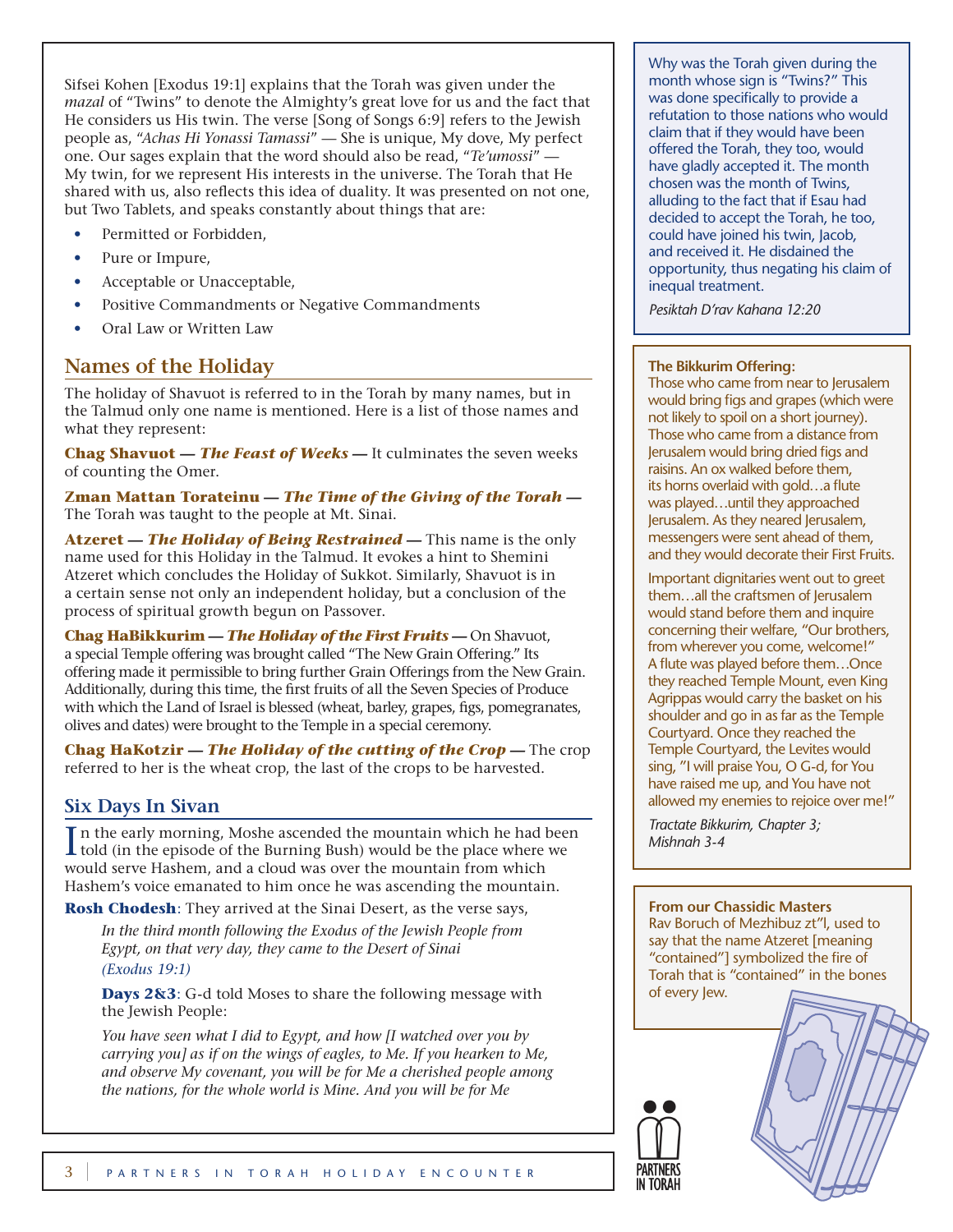Sifsei Kohen [Exodus 19:1] explains that the Torah was given under the *mazal* of "Twins" to denote the Almighty's great love for us and the fact that He considers us His twin. The verse [Song of Songs 6:9] refers to the Jewish people as, "*Achas Hi Yonassi Tamassi*" — She is unique, My dove, My perfect one. Our sages explain that the word should also be read, "*Te'umossi*" — My twin, for we represent His interests in the universe. The Torah that He shared with us, also reflects this idea of duality. It was presented on not one, but Two Tablets, and speaks constantly about things that are:

- Permitted or Forbidden,
- Pure or Impure,
- Acceptable or Unacceptable,
- Positive Commandments or Negative Commandments
- Oral Law or Written Law

# **Names of the Holiday**

The holiday of Shavuot is referred to in the Torah by many names, but in the Talmud only one name is mentioned. Here is a list of those names and what they represent:

**Chag Shavuot** *— The Feast of Weeks —* It culminates the seven weeks of counting the Omer.

**Zman Mattan Torateinu** *— The Time of the Giving of the Torah —* The Torah was taught to the people at Mt. Sinai.

**Atzeret** *— The Holiday of Being Restrained —* This name is the only name used for this Holiday in the Talmud. It evokes a hint to Shemini Atzeret which concludes the Holiday of Sukkot. Similarly, Shavuot is in a certain sense not only an independent holiday, but a conclusion of the process of spiritual growth begun on Passover.

**Chag HaBikkurim** *— The Holiday of the First Fruits —* On Shavuot, a special Temple offering was brought called "The New Grain Offering." Its offering made it permissible to bring further Grain Offerings from the New Grain. Additionally, during this time, the first fruits of all the Seven Species of Produce with which the Land of Israel is blessed (wheat, barley, grapes, figs, pomegranates, olives and dates) were brought to the Temple in a special ceremony.

**Chag HaKotzir** *— The Holiday of the cutting of the Crop —* The crop referred to her is the wheat crop, the last of the crops to be harvested.

## **Six Days In Sivan**

In the early morning, Moshe ascended the mountain which he had been told (in the episode of the Burning Bush) would be the place where we In the early morning, Moshe ascended the mountain which he had been would serve Hashem, and a cloud was over the mountain from which Hashem's voice emanated to him once he was ascending the mountain.

**Rosh Chodesh**: They arrived at the Sinai Desert, as the verse says,

*In the third month following the Exodus of the Jewish People from Egypt, on that very day, they came to the Desert of Sinai (Exodus 19:1)*

**Days 2&3**: G-d told Moses to share the following message with the Jewish People:

*You have seen what I did to Egypt, and how [I watched over you by carrying you] as if on the wings of eagles, to Me. If you hearken to Me, and observe My covenant, you will be for Me a cherished people among the nations, for the whole world is Mine. And you will be for Me* 

Why was the Torah given during the month whose sign is "Twins?" This was done specifically to provide a refutation to those nations who would claim that if they would have been offered the Torah, they too, would have gladly accepted it. The month chosen was the month of Twins, alluding to the fact that if Esau had decided to accept the Torah, he too, could have joined his twin, Jacob, and received it. He disdained the opportunity, thus negating his claim of inequal treatment.

*Pesiktah D'rav Kahana 12:20*

### **The Bikkurim Offering:**

Those who came from near to Jerusalem would bring figs and grapes (which were not likely to spoil on a short journey). Those who came from a distance from Jerusalem would bring dried figs and raisins. An ox walked before them, its horns overlaid with gold…a flute was played…until they approached Jerusalem. As they neared Jerusalem, messengers were sent ahead of them, and they would decorate their First Fruits.

Important dignitaries went out to greet them...all the craftsmen of Jerusalem would stand before them and inquire concerning their welfare, "Our brothers, from wherever you come, welcome!" A flute was played before them…Once they reached Temple Mount, even King Agrippas would carry the basket on his shoulder and go in as far as the Temple Courtyard. Once they reached the Temple Courtyard, the Levites would sing, "I will praise You, O G-d, for You have raised me up, and You have not allowed my enemies to rejoice over me!"

*Tractate Bikkurim, Chapter 3; Mishnah 3-4*

## **From our Chassidic Masters**

Rav Boruch of Mezhibuz zt"l, used to say that the name Atzeret [meaning "contained"] symbolized the fire of Torah that is "contained" in the bones of every Jew.

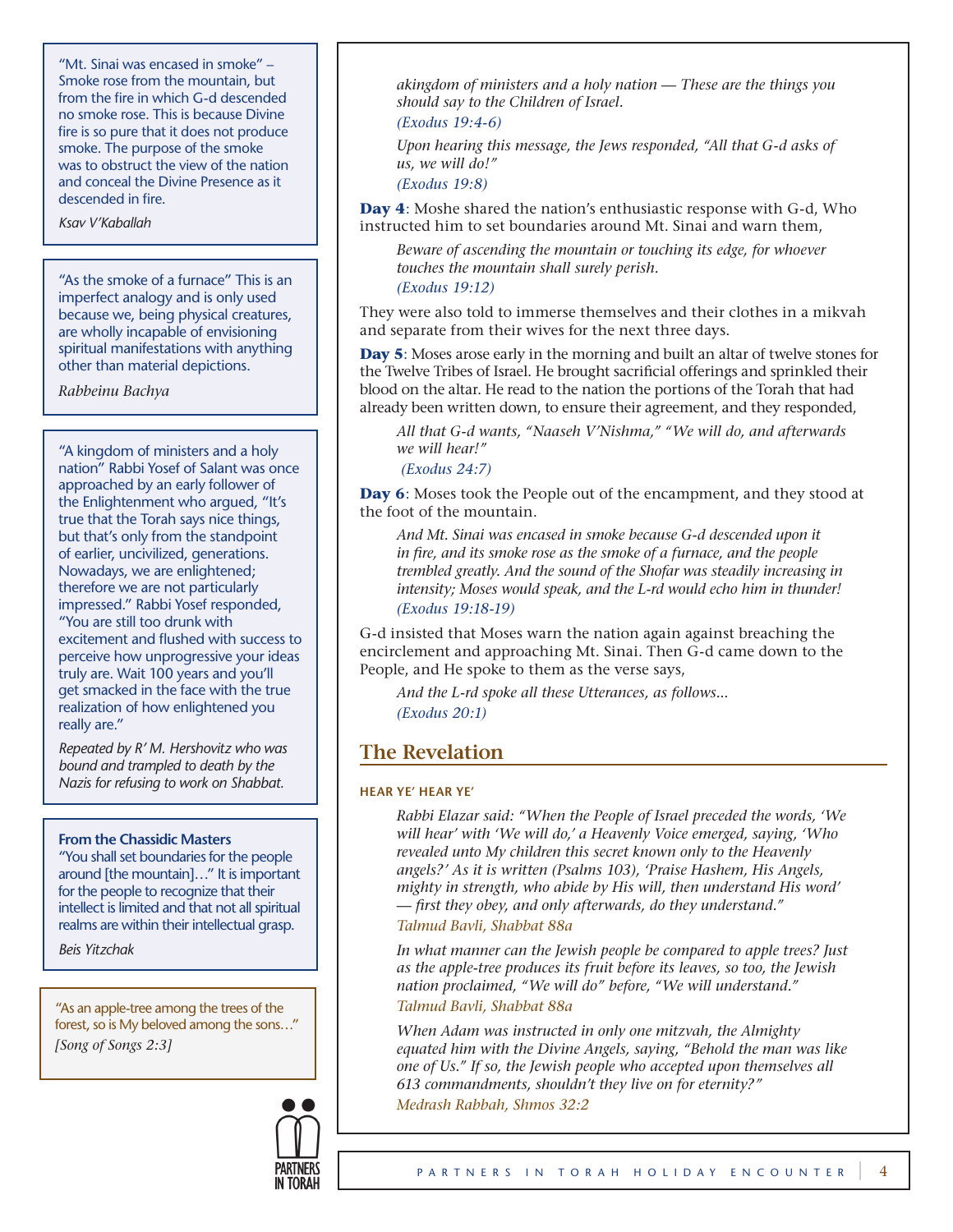"Mt. Sinai was encased in smoke" – Smoke rose from the mountain, but from the fire in which G-d descended no smoke rose. This is because Divine fire is so pure that it does not produce smoke. The purpose of the smoke was to obstruct the view of the nation and conceal the Divine Presence as it descended in fire.

*Ksav V'Kaballah*

"As the smoke of a furnace" This is an imperfect analogy and is only used because we, being physical creatures, are wholly incapable of envisioning spiritual manifestations with anything other than material depictions.

*Rabbeinu Bachya*

"A kingdom of ministers and a holy nation" Rabbi Yosef of Salant was once approached by an early follower of the Enlightenment who argued, "It's true that the Torah says nice things, but that's only from the standpoint of earlier, uncivilized, generations. Nowadays, we are enlightened; therefore we are not particularly impressed." Rabbi Yosef responded, "You are still too drunk with excitement and flushed with success to perceive how unprogressive your ideas truly are. Wait 100 years and you'll get smacked in the face with the true realization of how enlightened you really are."

*Repeated by R' M. Hershovitz who was bound and trampled to death by the Nazis for refusing to work on Shabbat.*

### **From the Chassidic Masters**

"You shall set boundaries for the people around [the mountain]…" It is important for the people to recognize that their intellect is limited and that not all spiritual realms are within their intellectual grasp.

*Beis Yitzchak*

"As an apple-tree among the trees of the forest, so is My beloved among the sons…" *[Song of Songs 2:3]*



*akingdom of ministers and a holy nation — These are the things you should say to the Children of Israel.*

*(Exodus 19:4-6)*

*Upon hearing this message, the Jews responded, "All that G-d asks of us, we will do!"*

*(Exodus 19:8)*

**Day 4**: Moshe shared the nation's enthusiastic response with G-d, Who instructed him to set boundaries around Mt. Sinai and warn them,

*Beware of ascending the mountain or touching its edge, for whoever touches the mountain shall surely perish. (Exodus 19:12)* 

They were also told to immerse themselves and their clothes in a mikvah and separate from their wives for the next three days.

**Day 5**: Moses arose early in the morning and built an altar of twelve stones for the Twelve Tribes of Israel. He brought sacrificial offerings and sprinkled their blood on the altar. He read to the nation the portions of the Torah that had already been written down, to ensure their agreement, and they responded,

*All that G-d wants, "Naaseh V'Nishma," "We will do, and afterwards we will hear!"*

 *(Exodus 24:7)*

**Day 6**: Moses took the People out of the encampment, and they stood at the foot of the mountain.

*And Mt. Sinai was encased in smoke because G-d descended upon it in fire, and its smoke rose as the smoke of a furnace, and the people trembled greatly. And the sound of the Shofar was steadily increasing in intensity; Moses would speak, and the L-rd would echo him in thunder! (Exodus 19:18-19)*

G-d insisted that Moses warn the nation again against breaching the encirclement and approaching Mt. Sinai. Then G-d came down to the People, and He spoke to them as the verse says,

*And the L-rd spoke all these Utterances, as follows... (Exodus 20:1)*

# **The Revelation**

#### **Hear Ye' Hear Ye'**

*Rabbi Elazar said: "When the People of Israel preceded the words, 'We will hear' with 'We will do,' a Heavenly Voice emerged, saying, 'Who revealed unto My children this secret known only to the Heavenly angels?' As it is written (Psalms 103), 'Praise Hashem, His Angels, mighty in strength, who abide by His will, then understand His word' — first they obey, and only afterwards, do they understand." Talmud Bavli, Shabbat 88a*

*In what manner can the Jewish people be compared to apple trees? Just as the apple-tree produces its fruit before its leaves, so too, the Jewish nation proclaimed, "We will do" before, "We will understand." Talmud Bavli, Shabbat 88a*

*When Adam was instructed in only one mitzvah, the Almighty equated him with the Divine Angels, saying, "Behold the man was like one of Us." If so, the Jewish people who accepted upon themselves all 613 commandments, shouldn't they live on for eternity?" Medrash Rabbah, Shmos 32:2*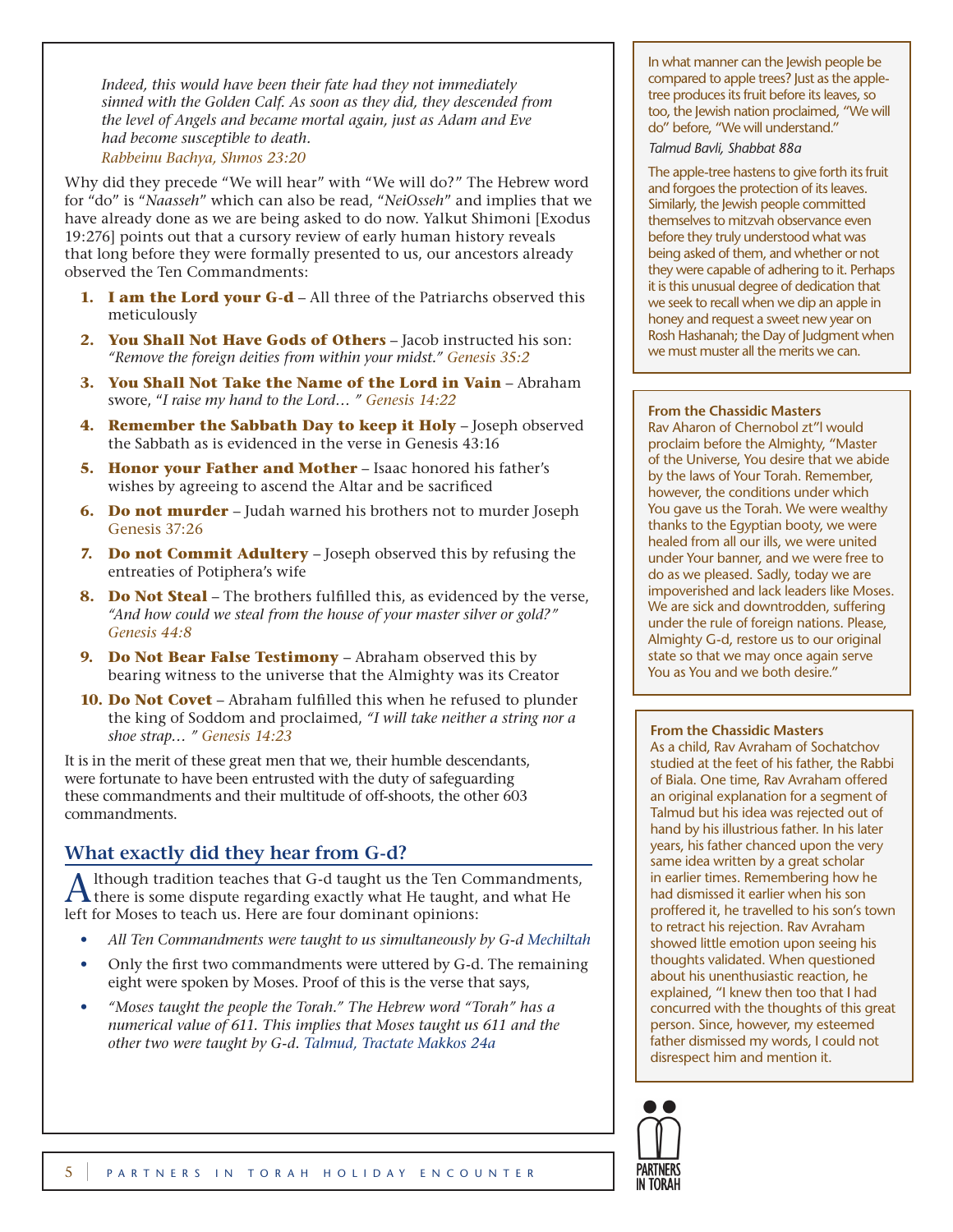*Indeed, this would have been their fate had they not immediately sinned with the Golden Calf. As soon as they did, they descended from the level of Angels and became mortal again, just as Adam and Eve had become susceptible to death. Rabbeinu Bachya, Shmos 23:20*

Why did they precede "We will hear" with "We will do?" The Hebrew word for "do" is "*Naasseh*" which can also be read, "*NeiOsseh*" and implies that we have already done as we are being asked to do now. Yalkut Shimoni [Exodus 19:276] points out that a cursory review of early human history reveals that long before they were formally presented to us, our ancestors already observed the Ten Commandments:

- **1. I am the Lord your G-d** All three of the Patriarchs observed this meticulously
- **2. You Shall Not Have Gods of Others** Jacob instructed his son: *"Remove the foreign deities from within your midst." Genesis 35:2*
- **3. You Shall Not Take the Name of the Lord in Vain** Abraham swore, "*I raise my hand to the Lord… " Genesis 14:22*
- **4. Remember the Sabbath Day to keep it Holy** Joseph observed the Sabbath as is evidenced in the verse in Genesis 43:16
- **5. Honor your Father and Mother** Isaac honored his father's wishes by agreeing to ascend the Altar and be sacrificed
- **6. Do not murder**  Judah warned his brothers not to murder Joseph Genesis 37:26
- **7. Do not Commit Adultery**  Joseph observed this by refusing the entreaties of Potiphera's wife
- **8. Do Not Steal** The brothers fulfilled this, as evidenced by the verse, *"And how could we steal from the house of your master silver or gold?" Genesis 44:8*
- **9. Do Not Bear False Testimony**  Abraham observed this by bearing witness to the universe that the Almighty was its Creator
- **10. Do Not Covet** Abraham fulfilled this when he refused to plunder the king of Soddom and proclaimed, *"I will take neither a string nor a shoe strap… " Genesis 14:23*

It is in the merit of these great men that we, their humble descendants, were fortunate to have been entrusted with the duty of safeguarding these commandments and their multitude of off-shoots, the other 603 commandments.

# **What exactly did they hear from G-d?**

A lthough tradition teaches that G-d taught us the Ten Commandments, there is some dispute regarding exactly what He taught, and what He left for Moses to teach us. Here are four dominant opinions:

- *All Ten Commandments were taught to us simultaneously by G-d Mechiltah*
- Only the first two commandments were uttered by G-d. The remaining eight were spoken by Moses. Proof of this is the verse that says,
- *"Moses taught the people the Torah." The Hebrew word "Torah" has a numerical value of 611. This implies that Moses taught us 611 and the other two were taught by G-d. Talmud, Tractate Makkos 24a*

In what manner can the Jewish people be compared to apple trees? Just as the appletree produces its fruit before its leaves, so too, the Jewish nation proclaimed, "We will do" before, "We will understand."

#### *Talmud Bavli, Shabbat 88a*

The apple-tree hastens to give forth its fruit and forgoes the protection of its leaves. Similarly, the Jewish people committed themselves to mitzvah observance even before they truly understood what was being asked of them, and whether or not they were capable of adhering to it. Perhaps it is this unusual degree of dedication that we seek to recall when we dip an apple in honey and request a sweet new year on Rosh Hashanah; the Day of Judgment when we must muster all the merits we can.

### **From the Chassidic Masters**

Rav Aharon of Chernobol zt"l would proclaim before the Almighty, "Master of the Universe, You desire that we abide by the laws of Your Torah. Remember, however, the conditions under which You gave us the Torah. We were wealthy thanks to the Egyptian booty, we were healed from all our ills, we were united under Your banner, and we were free to do as we pleased. Sadly, today we are impoverished and lack leaders like Moses. We are sick and downtrodden, suffering under the rule of foreign nations. Please, Almighty G-d, restore us to our original state so that we may once again serve You as You and we both desire."

## **From the Chassidic Masters**

As a child, Rav Avraham of Sochatchov studied at the feet of his father, the Rabbi of Biala. One time, Rav Avraham offered an original explanation for a segment of Talmud but his idea was rejected out of hand by his illustrious father. In his later years, his father chanced upon the very same idea written by a great scholar in earlier times. Remembering how he had dismissed it earlier when his son proffered it, he travelled to his son's town to retract his rejection. Rav Avraham showed little emotion upon seeing his thoughts validated. When questioned about his unenthusiastic reaction, he explained, "I knew then too that I had concurred with the thoughts of this great person. Since, however, my esteemed father dismissed my words, I could not disrespect him and mention it.

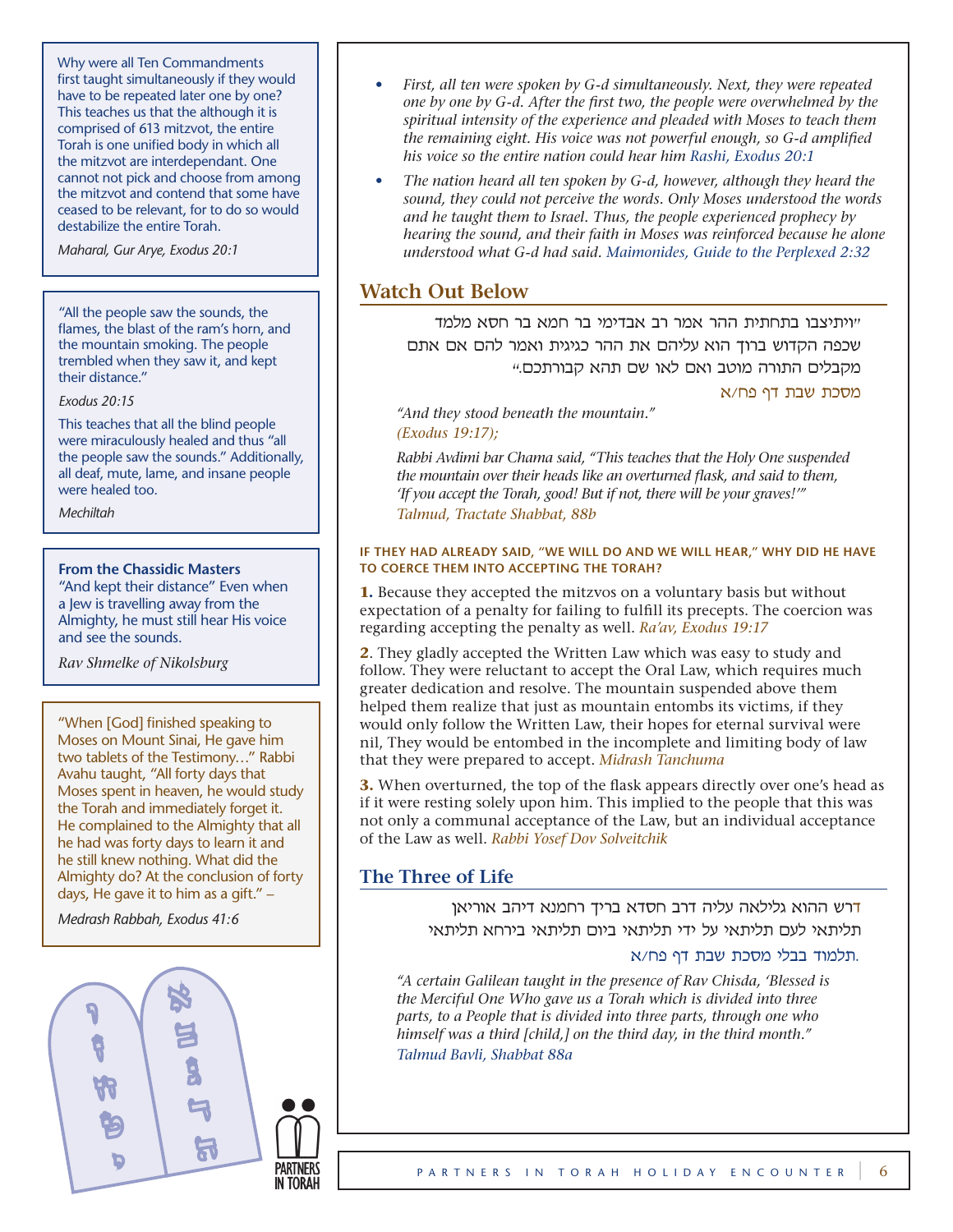Why were all Ten Commandments first taught simultaneously if they would have to be repeated later one by one? This teaches us that the although it is comprised of 613 mitzvot, the entire Torah is one unified body in which all the mitzvot are interdependant. One cannot not pick and choose from among the mitzvot and contend that some have ceased to be relevant, for to do so would destabilize the entire Torah.

*Maharal, Gur Arye, Exodus 20:1*

"All the people saw the sounds, the flames, the blast of the ram's horn, and the mountain smoking. The people trembled when they saw it, and kept their distance."

*Exodus 20:15*

This teaches that all the blind people were miraculously healed and thus "all the people saw the sounds." Additionally, all deaf, mute, lame, and insane people were healed too.

*Mechiltah*

### **From the Chassidic Masters**

"And kept their distance" Even when a Jew is travelling away from the Almighty, he must still hear His voice and see the sounds.

*Rav Shmelke of Nikolsburg*

"When [God] finished speaking to Moses on Mount Sinai, He gave him two tablets of the Testimony…" Rabbi Avahu taught, "All forty days that Moses spent in heaven, he would study the Torah and immediately forget it. He complained to the Almighty that all he had was forty days to learn it and he still knew nothing. What did the Almighty do? At the conclusion of forty days, He gave it to him as a gift." –

*Medrash Rabbah, Exodus 41:6*



- *First, all ten were spoken by G-d simultaneously. Next, they were repeated one by one by G-d. After the first two, the people were overwhelmed by the spiritual intensity of the experience and pleaded with Moses to teach them the remaining eight. His voice was not powerful enough, so G-d amplified his voice so the entire nation could hear him Rashi, Exodus 20:1*
- *The nation heard all ten spoken by G-d, however, although they heard the sound, they could not perceive the words. Only Moses understood the words and he taught them to Israel. Thus, the people experienced prophecy by hearing the sound, and their faith in Moses was reinforced because he alone understood what G-d had said. Maimonides, Guide to the Perplexed 2:32*

## **Watch Out Below**

"ויתיצבו בתחתית ההר אמר רב אבדימי בר חמא בר חסא מלמד שכפה הקדוש ברוך הוא עליהם את ההר כגיגית ואמר להם אם אתם מקבלים התורה מוטב ואם לאו שם תהא קבורתכם."

#### מסכת שבת דף פח/א

*"And they stood beneath the mountain." (Exodus 19:17);* 

*Rabbi Avdimi bar Chama said, "This teaches that the Holy One suspended the mountain over their heads like an overturned flask, and said to them, 'If you accept the Torah, good! But if not, there will be your graves!'" Talmud, Tractate Shabbat, 88b*

#### **If they had already said, "We will do and we will hear," why did He have to coerce them into accepting the Torah?**

**1.** Because they accepted the mitzvos on a voluntary basis but without expectation of a penalty for failing to fulfill its precepts. The coercion was regarding accepting the penalty as well. *Ra'av, Exodus 19:17*

**2**. They gladly accepted the Written Law which was easy to study and follow. They were reluctant to accept the Oral Law, which requires much greater dedication and resolve. The mountain suspended above them helped them realize that just as mountain entombs its victims, if they would only follow the Written Law, their hopes for eternal survival were nil, They would be entombed in the incomplete and limiting body of law that they were prepared to accept. *Midrash Tanchuma*

**3.** When overturned, the top of the flask appears directly over one's head as if it were resting solely upon him. This implied to the people that this was not only a communal acceptance of the Law, but an individual acceptance of the Law as well. *Rabbi Yosef Dov Solveitchik*

## **The Three of Life**

דרש ההוא גלילאה עליה דרב חסדא בריך רחמנא דיהב אוריאן תליתאי לעם תליתאי על ידי תליתאי ביום תליתאי בירחא תליתאי

## .תלמוד בבלי מסכת שבת דף פח/א

*"A certain Galilean taught in the presence of Rav Chisda, 'Blessed is the Merciful One Who gave us a Torah which is divided into three parts, to a People that is divided into three parts, through one who himself was a third [child,] on the third day, in the third month." Talmud Bavli, Shabbat 88a*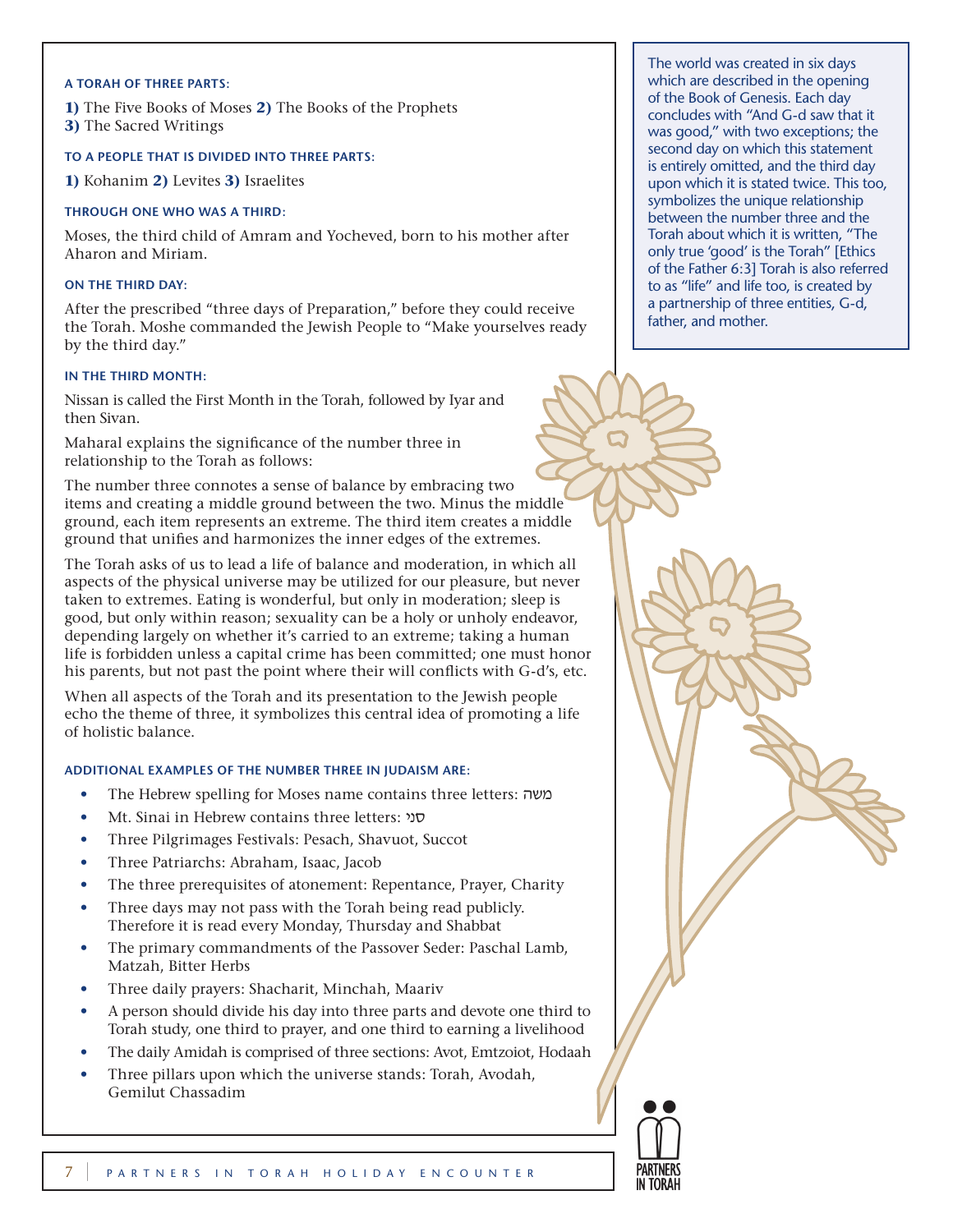#### **A Torah of three parts:**

**1)** The Five Books of Moses **2)** The Books of the Prophets **3)** The Sacred Writings

#### **To a People that is divided into three parts:**

**1)** Kohanim **2)** Levites **3)** Israelites

#### **Through one who was a third:**

Moses, the third child of Amram and Yocheved, born to his mother after Aharon and Miriam.

#### **On the third day:**

After the prescribed "three days of Preparation," before they could receive the Torah. Moshe commanded the Jewish People to "Make yourselves ready by the third day."

#### **In the third month:**

Nissan is called the First Month in the Torah, followed by Iyar and then Sivan.

Maharal explains the significance of the number three in relationship to the Torah as follows:

The number three connotes a sense of balance by embracing two items and creating a middle ground between the two. Minus the middle ground, each item represents an extreme. The third item creates a middle ground that unifies and harmonizes the inner edges of the extremes.

The Torah asks of us to lead a life of balance and moderation, in which all aspects of the physical universe may be utilized for our pleasure, but never taken to extremes. Eating is wonderful, but only in moderation; sleep is good, but only within reason; sexuality can be a holy or unholy endeavor, depending largely on whether it's carried to an extreme; taking a human life is forbidden unless a capital crime has been committed; one must honor his parents, but not past the point where their will conflicts with G-d's, etc.

When all aspects of the Torah and its presentation to the Jewish people echo the theme of three, it symbolizes this central idea of promoting a life of holistic balance.

#### **Additional examples of the number three in Judaism are:**

- The Hebrew spelling for Moses name contains three letters: משה
- Mt. Sinai in Hebrew contains three letters: סני
- Three Pilgrimages Festivals: Pesach, Shavuot, Succot
- Three Patriarchs: Abraham, Isaac, Jacob
- The three prerequisites of atonement: Repentance, Prayer, Charity
- Three days may not pass with the Torah being read publicly. Therefore it is read every Monday, Thursday and Shabbat
- The primary commandments of the Passover Seder: Paschal Lamb, Matzah, Bitter Herbs
- Three daily prayers: Shacharit, Minchah, Maariv
- A person should divide his day into three parts and devote one third to Torah study, one third to prayer, and one third to earning a livelihood
- The daily Amidah is comprised of three sections: Avot, Emtzoiot, Hodaah
- Three pillars upon which the universe stands: Torah, Avodah, Gemilut Chassadim

The world was created in six days which are described in the opening of the Book of Genesis. Each day concludes with "And G-d saw that it was good," with two exceptions; the second day on which this statement is entirely omitted, and the third day upon which it is stated twice. This too, symbolizes the unique relationship between the number three and the Torah about which it is written, "The only true 'good' is the Torah" [Ethics of the Father 6:3] Torah is also referred to as "life" and life too, is created by a partnership of three entities, G-d, father, and mother.

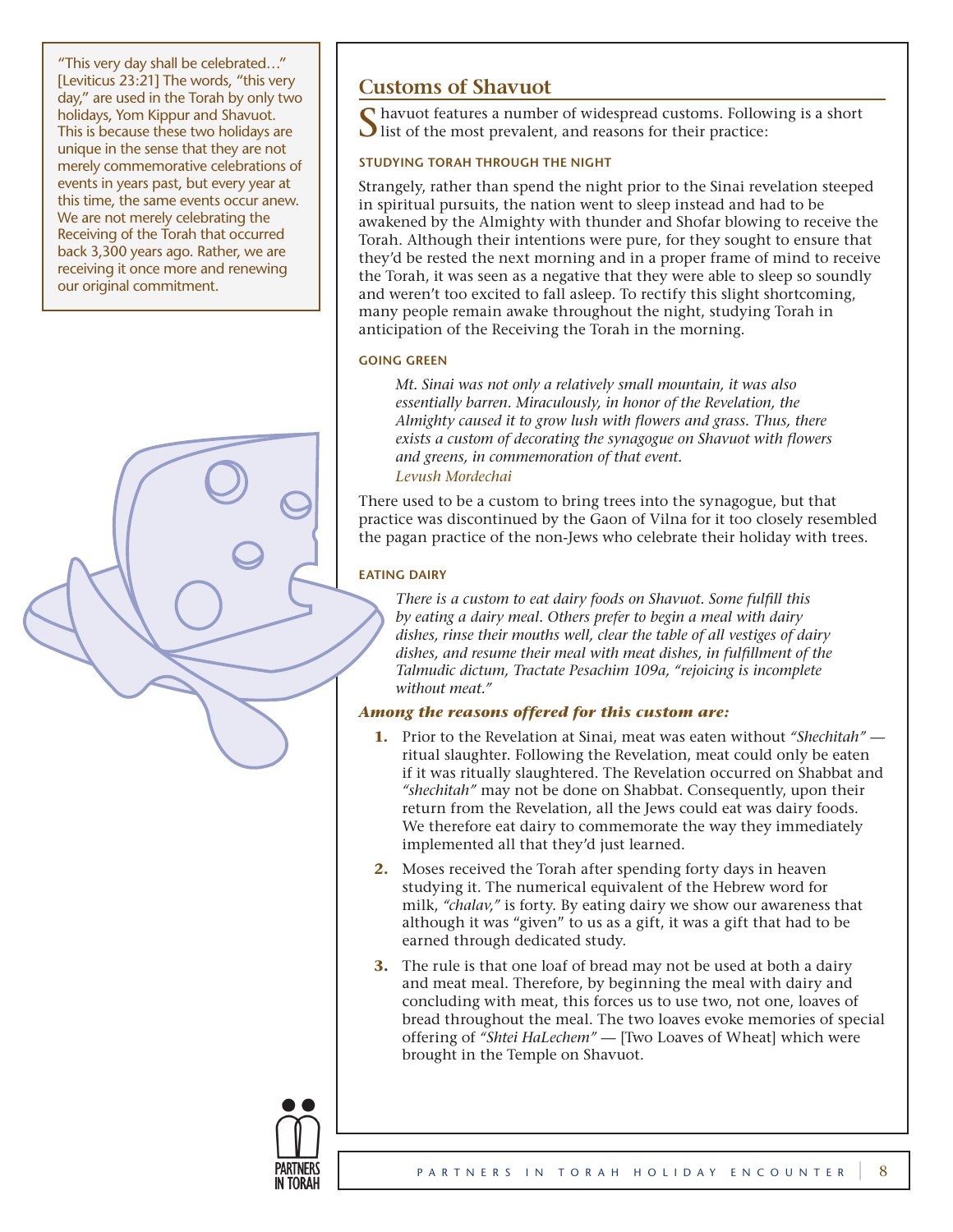"This very day shall be celebrated…" [Leviticus 23:21] The words, "this very day," are used in the Torah by only two holidays, Yom Kippur and Shavuot. This is because these two holidays are unique in the sense that they are not merely commemorative celebrations of events in years past, but every year at this time, the same events occur anew. We are not merely celebrating the Receiving of the Torah that occurred back 3,300 years ago. Rather, we are receiving it once more and renewing our original commitment.

# **Customs of Shavuot**

havuot features a number of widespread customs. Following is a short  $\bigcup$  list of the most prevalent, and reasons for their practice:

## **Studying Torah through the Night**

Strangely, rather than spend the night prior to the Sinai revelation steeped in spiritual pursuits, the nation went to sleep instead and had to be awakened by the Almighty with thunder and Shofar blowing to receive the Torah. Although their intentions were pure, for they sought to ensure that they'd be rested the next morning and in a proper frame of mind to receive the Torah, it was seen as a negative that they were able to sleep so soundly and weren't too excited to fall asleep. To rectify this slight shortcoming, many people remain awake throughout the night, studying Torah in anticipation of the Receiving the Torah in the morning.

## **Going Green**

*Mt. Sinai was not only a relatively small mountain, it was also essentially barren. Miraculously, in honor of the Revelation, the Almighty caused it to grow lush with flowers and grass. Thus, there exists a custom of decorating the synagogue on Shavuot with flowers and greens, in commemoration of that event.*

## *Levush Mordechai*

There used to be a custom to bring trees into the synagogue, but that practice was discontinued by the Gaon of Vilna for it too closely resembled the pagan practice of the non-Jews who celebrate their holiday with trees.

## **Eating Dairy**

*There is a custom to eat dairy foods on Shavuot. Some fulfill this by eating a dairy meal. Others prefer to begin a meal with dairy dishes, rinse their mouths well, clear the table of all vestiges of dairy dishes, and resume their meal with meat dishes, in fulfillment of the Talmudic dictum, Tractate Pesachim 109a, "rejoicing is incomplete without meat."* 

## *Among the reasons offered for this custom are:*

- **1.** Prior to the Revelation at Sinai, meat was eaten without *"Shechitah"*  ritual slaughter. Following the Revelation, meat could only be eaten if it was ritually slaughtered. The Revelation occurred on Shabbat and *"shechitah"* may not be done on Shabbat. Consequently, upon their return from the Revelation, all the Jews could eat was dairy foods. We therefore eat dairy to commemorate the way they immediately implemented all that they'd just learned.
- **2.** Moses received the Torah after spending forty days in heaven studying it. The numerical equivalent of the Hebrew word for milk, *"chalav,"* is forty. By eating dairy we show our awareness that although it was "given" to us as a gift, it was a gift that had to be earned through dedicated study.
- **3.** The rule is that one loaf of bread may not be used at both a dairy and meat meal. Therefore, by beginning the meal with dairy and concluding with meat, this forces us to use two, not one, loaves of bread throughout the meal. The two loaves evoke memories of special offering of *"Shtei HaLechem"* — [Two Loaves of Wheat] which were brought in the Temple on Shavuot.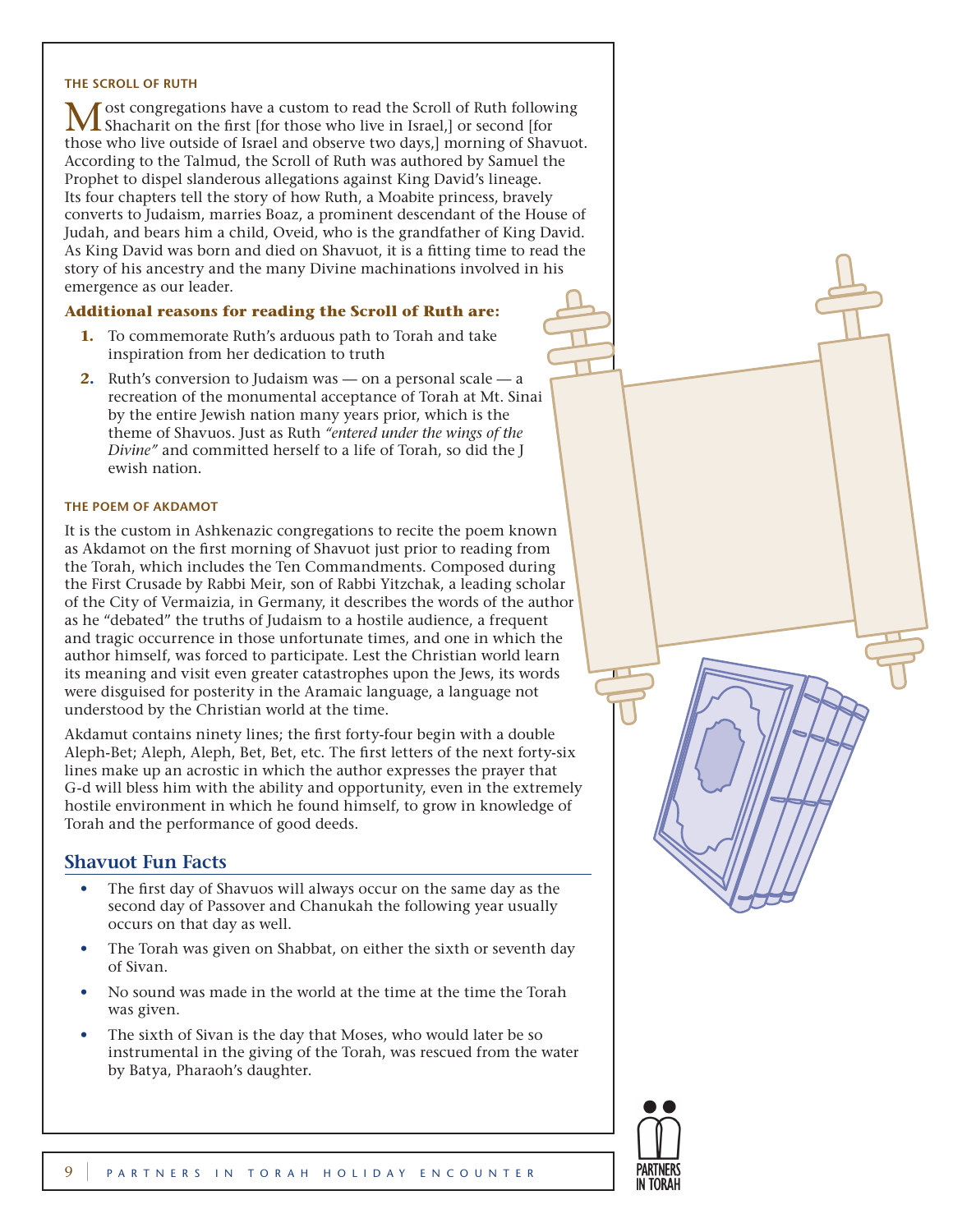#### **The Scroll of Ruth**

ost congregations have a custom to read the Scroll of Ruth following Shacharit on the first [for those who live in Israel,] or second [for those who live outside of Israel and observe two days,] morning of Shavuot. According to the Talmud, the Scroll of Ruth was authored by Samuel the Prophet to dispel slanderous allegations against King David's lineage. Its four chapters tell the story of how Ruth, a Moabite princess, bravely converts to Judaism, marries Boaz, a prominent descendant of the House of Judah, and bears him a child, Oveid, who is the grandfather of King David. As King David was born and died on Shavuot, it is a fitting time to read the story of his ancestry and the many Divine machinations involved in his emergence as our leader.

#### **Additional reasons for reading the Scroll of Ruth are:**

- **1.** To commemorate Ruth's arduous path to Torah and take inspiration from her dedication to truth
- **2.** Ruth's conversion to Judaism was on a personal scale a recreation of the monumental acceptance of Torah at Mt. Sinai by the entire Jewish nation many years prior, which is the theme of Shavuos. Just as Ruth *"entered under the wings of the Divine"* and committed herself to a life of Torah, so did the J ewish nation.

#### **The Poem of Akdamot**

It is the custom in Ashkenazic congregations to recite the poem known as Akdamot on the first morning of Shavuot just prior to reading from the Torah, which includes the Ten Commandments. Composed during the First Crusade by Rabbi Meir, son of Rabbi Yitzchak, a leading scholar of the City of Vermaizia, in Germany, it describes the words of the author as he "debated" the truths of Judaism to a hostile audience, a frequent and tragic occurrence in those unfortunate times, and one in which the author himself, was forced to participate. Lest the Christian world learn its meaning and visit even greater catastrophes upon the Jews, its words were disguised for posterity in the Aramaic language, a language not understood by the Christian world at the time.

Akdamut contains ninety lines; the first forty-four begin with a double Aleph-Bet; Aleph, Aleph, Bet, Bet, etc. The first letters of the next forty-six lines make up an acrostic in which the author expresses the prayer that G-d will bless him with the ability and opportunity, even in the extremely hostile environment in which he found himself, to grow in knowledge of Torah and the performance of good deeds.

## **Shavuot Fun Facts**

- The first day of Shavuos will always occur on the same day as the second day of Passover and Chanukah the following year usually occurs on that day as well.
- The Torah was given on Shabbat, on either the sixth or seventh day of Sivan.
- No sound was made in the world at the time at the time the Torah was given.
- The sixth of Sivan is the day that Moses, who would later be so instrumental in the giving of the Torah, was rescued from the water by Batya, Pharaoh's daughter.